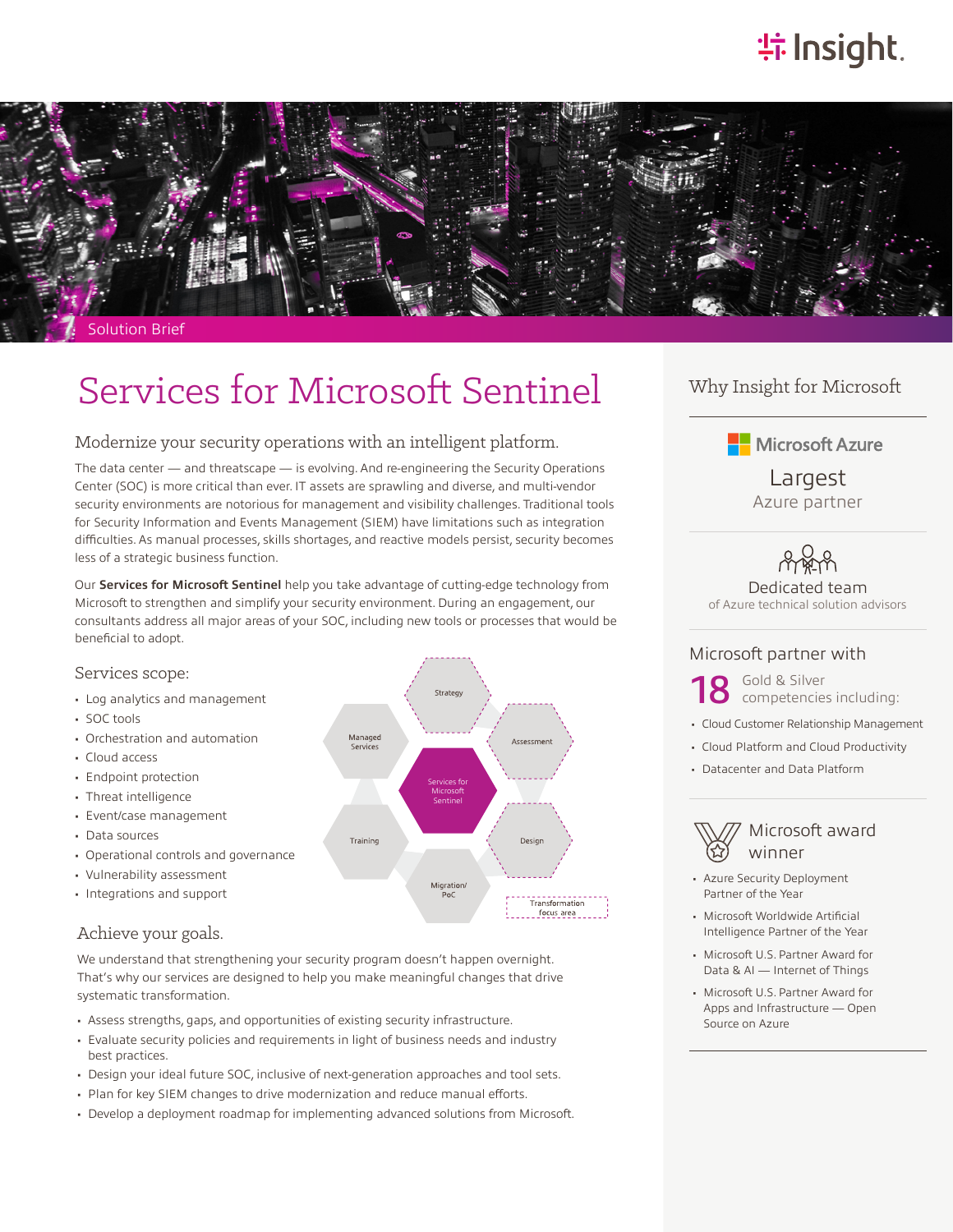# **特Insight**



Solution Brief

# Services for Microsoft Sentinel

## Modernize your security operations with an intelligent platform.

The data center — and threatscape — is evolving. And re-engineering the Security Operations Center (SOC) is more critical than ever. IT assets are sprawling and diverse, and multi-vendor security environments are notorious for management and visibility challenges. Traditional tools for Security Information and Events Management (SIEM) have limitations such as integration difficulties. As manual processes, skills shortages, and reactive models persist, security becomes less of a strategic business function.

Our **Services for Microsoft Sentinel** help you take advantage of cutting-edge technology from Microsoft to strengthen and simplify your security environment. During an engagement, our consultants address all major areas of your SOC, including new tools or processes that would be beneficial to adopt.



## Achieve your goals.

We understand that strengthening your security program doesn't happen overnight. That's why our services are designed to help you make meaningful changes that drive systematic transformation.

- Assess strengths, gaps, and opportunities of existing security infrastructure.
- Evaluate security policies and requirements in light of business needs and industry best practices.
- Design your ideal future SOC, inclusive of next-generation approaches and tool sets.
- Plan for key SIEM changes to drive modernization and reduce manual efforts.
- Develop a deployment roadmap for implementing advanced solutions from Microsoft.

# Why Insight for Microsoft

**H** Microsoft Azure

Largest Azure partner

Dedicated team of Azure technical solution advisors

## Microsoft partner with

18 Gold & Silver<br>competencies including:

- Cloud Customer Relationship Management
- Cloud Platform and Cloud Productivity
- Datacenter and Data Platform

Microsoft award winner

- Azure Security Deployment Partner of the Year
- Microsoft Worldwide Artificial Intelligence Partner of the Year
- Microsoft U.S. Partner Award for Data & AI — Internet of Things
- Microsoft U.S. Partner Award for Apps and Infrastructure — Open Source on Azure